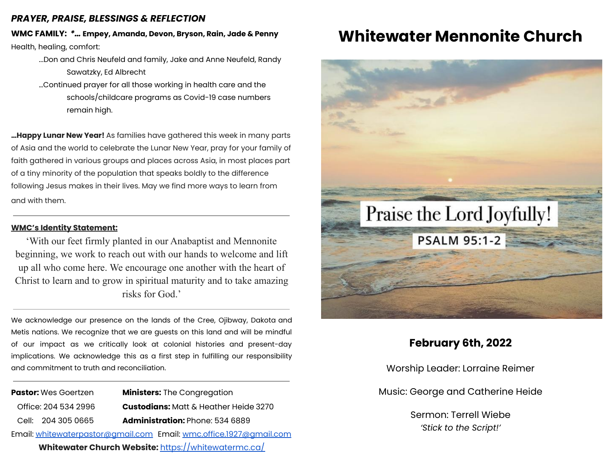#### *PRAYER, PRAISE, BLESSINGS & REFLECTION*

**WMC FAMILY:** *\*…* **Empey, Amanda, Devon, Bryson, Rain, Jade & Penny** Health, healing, comfort:

- ...Don and Chris Neufeld and family, Jake and Anne Neufeld, Randy Sawatzky, Ed Albrecht
- …Continued prayer for all those working in health care and the schools/childcare programs as Covid-19 case numbers remain high.

**…Happy Lunar New Year!** As families have gathered this week in many parts of Asia and the world to celebrate the Lunar New Year, pray for your family of faith gathered in various groups and places across Asia, in most places part of a tiny minority of the population that speaks boldly to the difference following Jesus makes in their lives. May we find more ways to learn from and with them.

#### **WMC's Identity Statement:**

'With our feet firmly planted in our Anabaptist and Mennonite beginning, we work to reach out with our hands to welcome and lift up all who come here. We encourage one another with the heart of Christ to learn and to grow in spiritual maturity and to take amazing risks for God.'

We acknowledge our presence on the lands of the Cree, Ojibway, Dakota and Metis nations. We recognize that we are guests on this land and will be mindful of our impact as we critically look at colonial histories and present-day implications. We acknowledge this as a first step in fulfilling our responsibility and commitment to truth and reconciliation.

**Pastor:** Wes Goertzen **Ministers:** The Congregation Office: 204 534 2996 **Custodians:** Matt & Heather Heide 3270 Cell: 204 305 0665 **Administration:** Phone: 534 6889 Email: [whitewaterpastor@gmail.com](mailto:whitewaterpastor@gmail.com) Email: [wmc.office.1927@gmail.com](mailto:wmc.office.1927@gmail.com)

**Whitewater Church Website:** <https://whitewatermc.ca/>

### **Whitewater Mennonite Church**



### **February 6th, 2022**

Worship Leader: Lorraine Reimer

Music: George and Catherine Heide

Sermon: Terrell Wiebe *'Stick to the Script!'*